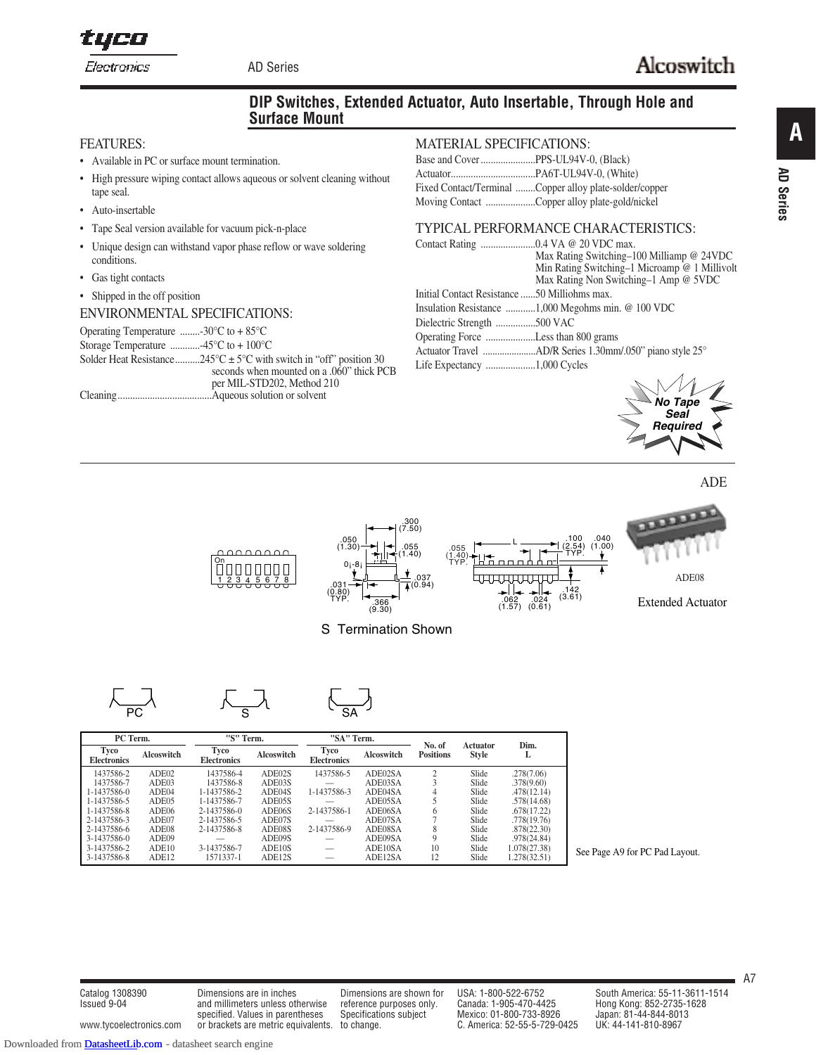tyco Electronics

AD Series

## **DIP Switches, Extended Actuator, Auto Insertable, Through Hole and Surface Mount**

#### FEATURES:

- Available in PC or surface mount termination.
- High pressure wiping contact allows aqueous or solvent cleaning without tape seal.
- Auto-insertable
- Tape Seal version available for vacuum pick-n-place
- Unique design can withstand vapor phase reflow or wave soldering conditions.
- Gas tight contacts
- Shipped in the off position

#### ENVIRONMENTAL SPECIFICATIONS:

Operating Temperature ........-30°C to + 85°C Storage Temperature ............-45°C to + 100°C Solder Heat Resistance..........245°C  $\pm$  5°C with switch in "off" position 30 seconds when mounted on a .060" thick PCB per MIL-STD202, Method 210 Cleaning......................................Aqueous solution or solvent

#### MATERIAL SPECIFICATIONS:

| Fixed Contact/Terminal Copper alloy plate-solder/copper |
|---------------------------------------------------------|
| Moving Contact Copper alloy plate-gold/nickel           |

## TYPICAL PERFORMANCE CHARACTERISTICS:

|                                              | Max Rating Switching-100 Milliamp @ 24VDC          |
|----------------------------------------------|----------------------------------------------------|
|                                              | Min Rating Switching-1 Microamp @ 1 Millivolt      |
|                                              | Max Rating Non Switching–1 Amp @ 5VDC              |
| Initial Contact Resistance 50 Milliohms max. |                                                    |
|                                              | Insulation Resistance 1,000 Megohms min. @ 100 VDC |
| Dielectric Strength 500 VAC                  |                                                    |
| Operating Force Less than 800 grams          |                                                    |
|                                              |                                                    |
|                                              |                                                    |
|                                              | $\overline{A}$                                     |



ADE



S Termination Shown

$$
\begin{matrix} \overline{\phantom{a}} \\ \overline{\phantom{a}} \\ \overline{\phantom{a}} \end{matrix}
$$

| PC Term.                   |                   | "S" Term.                  | "SA" Term. |                            | No. of     | Actuator         | Dim.         |              |
|----------------------------|-------------------|----------------------------|------------|----------------------------|------------|------------------|--------------|--------------|
| Tyco<br><b>Electronics</b> | <b>Alcoswitch</b> | Tyco<br><b>Electronics</b> | Alcoswitch | Tyco<br><b>Electronics</b> | Alcoswitch | <b>Positions</b> | <b>Style</b> | L            |
| 1437586-2                  | ADE02             | 1437586-4                  | ADE02S     | 1437586-5                  | ADE02SA    |                  | Slide        | .278(7.06)   |
| 1437586-7                  | ADE03             | 1437586-8                  | ADE03S     |                            | ADE03SA    |                  | Slide        | .378(9.60)   |
| 1-1437586-0                | ADE04             | 1-1437586-2                | ADE04S     | 1-1437586-3                | ADE04SA    | 4                | Slide        | .478(12.14)  |
| 1-1437586-5                | ADE05             | 1-1437586-7                | ADE05S     |                            | ADE05SA    |                  | Slide        | .578(14.68)  |
| 1-1437586-8                | ADE06             | 2-1437586-0                | ADE06S     | 2-1437586-1                | ADE06SA    | h                | Slide        | .678(17.22)  |
| 2-1437586-3                | ADE07             | 2-1437586-5                | ADE07S     |                            | ADE07SA    |                  | Slide        | .778(19.76)  |
| 2-1437586-6                | ADE08             | 2-1437586-8                | ADE08S     | 2-1437586-9                | ADE08SA    | 8                | Slide        | .878(22.30)  |
| 3-1437586-0                | ADE09             |                            | ADE09S     |                            | ADE09SA    | $\Omega$         | Slide        | .978(24.84)  |
| 3-1437586-2                | ADE10             | 3-1437586-7                | ADE10S     | __                         | ADE10SA    | 10               | Slide        | 1.078(27.38) |
| 3-1437586-8                | ADE12             | 1571337-1                  | ADE12S     |                            | ADE12SA    | 12               | Slide        | 1.278(32.51) |

See Page A9 for PC Pad Layout.

**A**

**AD Series**

**AD Series** 

Issued 9-04 and millimeters unless otherwise reference purposes only. specified. Values in parentheses Specifications subject Mexico: 01-800-733-8926 www.tycoelectronics.com or brackets are metric equivalents. to change. C. America: 52-55-5-729-0425 UK: 44-141-810-8967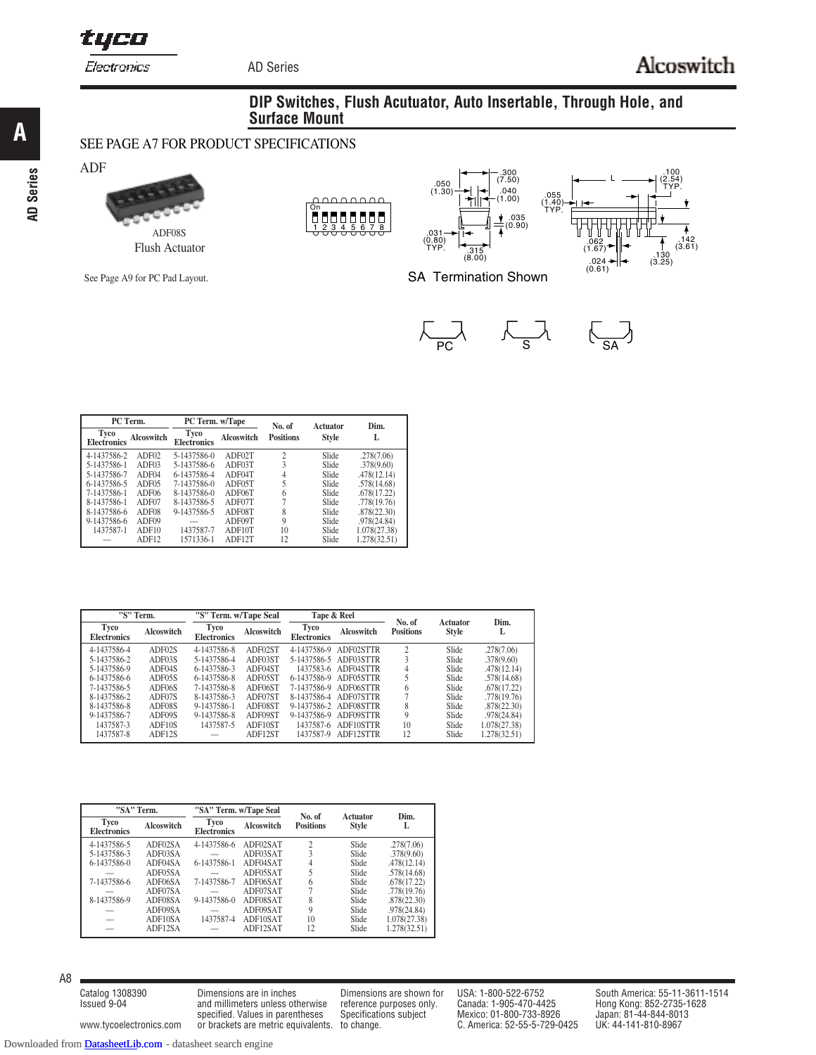tyco

Electronics

AD Series

.142 (3.61)

### **DIP Switches, Flush Acutuator, Auto Insertable, Through Hole, and Surface Mount**

## SEE PAGE A7 FOR PRODUCT SPECIFICATIONS

**AD Series**

**A**



See Page A9 for PC Pad Layout.





SA Termination Shown

 $\overline{\phantom{1}}_{\begin{array}{c}\text{PC}\end{array}}$ 



| PC Term.                   |                   | PC Term. w/Tape            |            | No. of           | Actuator     | Dim.         |
|----------------------------|-------------------|----------------------------|------------|------------------|--------------|--------------|
| Tyco<br><b>Electronics</b> | <b>Alcoswitch</b> | Tyco<br><b>Electronics</b> | Alcoswitch | <b>Positions</b> | <b>Style</b> |              |
| 4-1437586-2                | ADF02             | 5-1437586-0                | ADF02T     | 2                | Slide        | .278(7.06)   |
| 5-1437586-1                | ADF03             | 5-1437586-6                | ADF03T     | 3                | Slide        | .378(9.60)   |
| 5-1437586-7                | ADF04             | 6-1437586-4                | ADF04T     | 4                | Slide        | .478(12.14)  |
| 6-1437586-5                | ADF05             | 7-1437586-0                | ADF05T     |                  | Slide        | .578(14.68)  |
| 7-1437586-1                | ADF <sub>06</sub> | 8-1437586-0                | ADF06T     | 6                | Slide        | .678(17.22)  |
| 8-1437586-1                | ADF07             | 8-1437586-5                | ADF07T     |                  | Slide        | .778(19.76)  |
| 8-1437586-6                | ADF08             | 9-1437586-5                | ADF08T     | 8                | Slide        | .878(22.30)  |
| 9-1437586-6                | ADF09             |                            | ADF09T     | 9                | Slide        | .978(24.84)  |
| 1437587-1                  | ADF10             | 1437587-7                  | ADF10T     | 10               | Slide        | 1.078(27.38) |
|                            | ADF <sub>12</sub> | 1571336-1                  | ADF12T     | 12               | Slide        | 1.278(32.51) |

| "S" Term.                  |                   | "S" Term. w/Tape Seal      |                   | Tape & Reel                |                       | No. of           | Actuator     | Dim.         |
|----------------------------|-------------------|----------------------------|-------------------|----------------------------|-----------------------|------------------|--------------|--------------|
| Tyco<br><b>Electronics</b> | <b>Alcoswitch</b> | Tyco<br><b>Electronics</b> | <b>Alcoswitch</b> | Tyco<br><b>Electronics</b> | Alcoswitch            | <b>Positions</b> | <b>Style</b> | L            |
| 4-1437586-4                | ADF02S            | 4-1437586-8                | ADF02ST           | 4-1437586-9                | ADF02STTR             |                  | Slide        | .278(7.06)   |
| 5-1437586-2                | ADF03S            | 5-1437586-4                | ADF03ST           |                            | 5-1437586-5 ADF03STTR |                  | Slide        | .378(9.60)   |
| 5-1437586-9                | ADF04S            | 6-1437586-3                | ADF04ST           | 1437583-6                  | ADF04STTR             | 4                | Slide        | .478(12.14)  |
| 6-1437586-6                | ADF05S            | 6-1437586-8                | ADF05ST           | 6-1437586-9                | ADF05STTR             |                  | Slide        | .578(14.68)  |
| 7-1437586-5                | ADF06S            | 7-1437586-8                | ADF06ST           | 7-1437586-9                | ADF06STTR             | 6                | Slide        | .678(17.22)  |
| 8-1437586-2                | ADF07S            | 8-1437586-3                | ADF07ST           |                            | 8-1437586-4 ADF07STTR |                  | Slide        | .778(19.76)  |
| 8-1437586-8                | ADF08S            | 9-1437586-1                | ADF08ST           | 9-1437586-2                | ADF08STTR             | 8                | Slide        | .878(22.30)  |
| 9-1437586-7                | ADF09S            | 9-1437586-8                | ADF09ST           | 9-1437586-9                | ADF09STTR             | 9                | Slide        | .978(24.84)  |
| 1437587-3                  | ADF10S            | 1437587-5                  | ADF10ST           | 1437587-6                  | ADF10STTR             | 10               | Slide        | 1.078(27.38) |
| 1437587-8                  | ADF12S            |                            | ADF12ST           | 1437587-9                  | ADF12STTR             | 12               | Slide        | 1.278(32.51) |

|                            | "SA" Term. |                            | "SA" Term. w/Tape Seal |                            | <b>Actuator</b> | Dim.         |
|----------------------------|------------|----------------------------|------------------------|----------------------------|-----------------|--------------|
| Tyco<br><b>Electronics</b> | Alcoswitch | Tyco<br><b>Electronics</b> | Alcoswitch             | No. of<br><b>Positions</b> | <b>Style</b>    | L            |
| 4-1437586-5                | ADF02SA    | 4-1437586-6                | ADF02SAT               | $\mathfrak{D}$             | Slide           | .278(7.06)   |
| 5-1437586-3                | ADF03SA    |                            | ADF03SAT               | 3                          | Slide           | .378(9.60)   |
| $6 - 1437586 - 0$          | ADF04SA    | 6-1437586-1                | ADF04SAT               | 4                          | Slide           | .478(12.14)  |
|                            | ADF05SA    |                            | ADF05SAT               |                            | Slide           | .578(14.68)  |
| 7-1437586-6                | ADF06SA    | 7-1437586-7                | ADF06SAT               | 6                          | Slide           | .678(17.22)  |
|                            | ADF07SA    |                            | ADF07SAT               |                            | Slide           | .778(19.76)  |
| 8-1437586-9                | ADF08SA    | 9-1437586-0                | ADF08SAT               | 8                          | Slide           | .878(22.30)  |
|                            | ADF09SA    |                            | ADF09SAT               | 9                          | Slide           | .978(24.84)  |
|                            | ADF10SA    | 1437587-4                  | ADF10SAT               | 10                         | Slide           | 1.078(27.38) |
|                            | ADF12SA    |                            | ADF12SAT               | 12                         | Slide           | 1.278(32.51) |

A8

Issued 9-04 and millimeters unless otherwise reference purposes only. www.tycoelectronics.com or brackets are metric equivalents. to change. C. America: 52-55-5-729-0425

specified. Values in parentheses Specifications subject Mexico: 01-800-733-8926 Japan: 81-44-844-801<br>1996) C. America: 52-55-5-729-0425 UK: 44-141-810-8967

Catalog 1308390 Dimensions are in inches Dimensions are shown for USA: 1-800-522-6752 South America: 55-11-3611-1514<br>Issued 9-04 and millimeters unless otherwise reference purposes only. Canada: 1-905-470-4425 Hong Kong: 8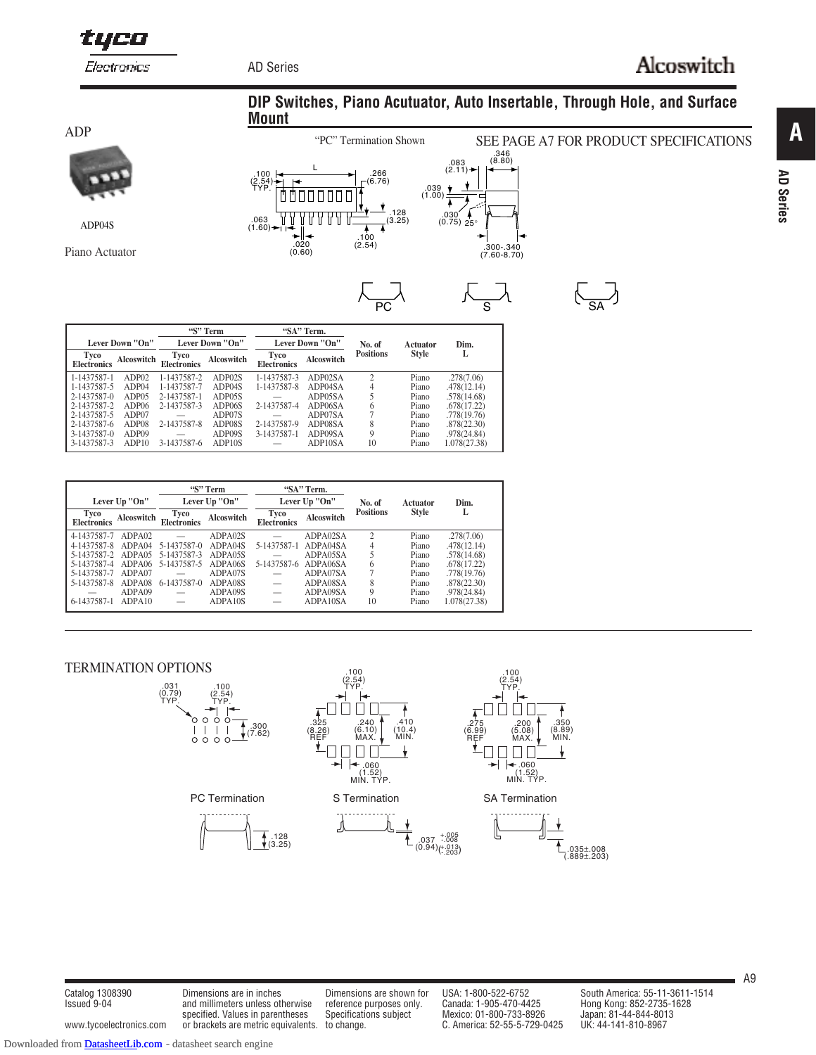tyco

Electronics

AD Series

**Mount**

# Alcoswitch

ADP



ADP04S

Piano Actuator



| ۲<br>r |  |
|--------|--|



| $\overline{PC}$ |                                 | S         | $\sim$ |
|-----------------|---------------------------------|-----------|--------|
| of<br>ons       | <b>Actuator</b><br><b>Style</b> | Dim.<br>L |        |

**DIP Switches, Piano Acutuator, Auto Insertable, Through Hole, and Surface**

|                            |                   |                            | "S" Term          | "SA" Term.                 |                 |                  |              |              |
|----------------------------|-------------------|----------------------------|-------------------|----------------------------|-----------------|------------------|--------------|--------------|
|                            | Lever Down "On"   |                            | Lever Down "On"   |                            | Lever Down "On" | No. of           | Actuator     | Dim.         |
| Tyco<br><b>Electronics</b> | <b>Alcoswitch</b> | Tyco<br><b>Electronics</b> | <b>Alcoswitch</b> | Tyco<br><b>Electronics</b> | Alcoswitch      | <b>Positions</b> | <b>Style</b> | L            |
| 1-1437587-1                | ADP02             | 1-1437587-2                | ADP02S            | 1-1437587-3                | ADP02SA         | $\overline{c}$   | Piano        | .278(7.06)   |
| 1-1437587-5                | ADP04             | 1-1437587-7                | ADP04S            | 1-1437587-8                | ADP04SA         | 4                | Piano        | .478(12.14)  |
| 2-1437587-0                | ADP05             | 2-1437587-1                | ADP05S            |                            | ADP05SA         | 5                | Piano        | .578(14.68)  |
| 2-1437587-2                | ADP <sub>06</sub> | 2-1437587-3                | ADP06S            | 2-1437587-4                | ADP06SA         | 6                | Piano        | .678(17.22)  |
| 2-1437587-5                | ADP07             |                            | ADP07S            |                            | ADP07SA         |                  | Piano        | .778(19.76)  |
| 2-1437587-6                | ADP08             | 2-1437587-8                | ADP08S            | 2-1437587-9                | ADP08SA         | 8                | Piano        | .878(22.30)  |
| 3-1437587-0                | ADP09             |                            | ADP09S            | 3-1437587-1                | ADP09SA         | 9                | Piano        | .978(24.84)  |
| 3-1437587-3                | ADP10             | 3-1437587-6                | ADP10S            |                            | ADP10SA         | 10               | Piano        | 1.078(27.38) |

|                            | Lever Up "On"     |                            | "S" Term<br>Lever Up "On" |                            | "SA" Term.<br>Lever Up "On" | No. of           | Actuator     | Dim.         |
|----------------------------|-------------------|----------------------------|---------------------------|----------------------------|-----------------------------|------------------|--------------|--------------|
| Tyco<br><b>Electronics</b> | <b>Alcoswitch</b> | Tyco<br><b>Electronics</b> | <b>Alcoswitch</b>         | Tyco<br><b>Electronics</b> | Alcoswitch                  | <b>Positions</b> | <b>Style</b> | L            |
| 4-1437587-7                | ADPA02            |                            | ADPA02S                   |                            | ADPA02SA                    | $\mathcal{D}$    | Piano        | .278(7.06)   |
| 4-1437587-8                | ADPA04            | 5-1437587-0                | ADPA04S                   | 5-1437587-1                | ADPA04SA                    | 4                | Piano        | .478(12.14)  |
| 5-1437587-2 ADPA05         |                   | 5-1437587-3                | ADPA05S                   |                            | ADPA05SA                    |                  | Piano        | .578(14.68)  |
| 5-1437587-4                | ADPA06            | 5-1437587-5                | ADPA06S                   | 5-1437587-6                | ADPA06SA                    | 6                | Piano        | .678(17.22)  |
| 5-1437587-7                | ADPA07            |                            | ADPA07S                   |                            | ADPA07SA                    |                  | Piano        | .778(19.76)  |
| 5-1437587-8                | ADPA08            | 6-1437587-0                | ADPA08S                   | —                          | ADPA08SA                    | 8                | Piano        | .878(22.30)  |
|                            | ADPA09            | $\overline{\phantom{0}}$   | ADPA09S                   |                            | ADPA09SA                    | 9                | Piano        | .978(24.84)  |
| 6-1437587-1                | ADPA10            | $\overline{\phantom{0}}$   | ADPA10S                   | -                          | ADPA10SA                    | 10               | Piano        | 1.078(27.38) |

#### TERMINATION OPTIONS



Issued 9-04 and millimeters unless otherwise reference purposes only. specified. Values in parentheses Specifications subject www.tycoelectronics.com or brackets are metric equivalents. to change. C. America: 52-55-5-729-0425

Catalog 1308390 Dimensions are in inches Dimensions are shown for USA: 1-800-522-6752 South America: 55-11-3611-1514<br>Issued 9-04 and millimeters unless otherwise reference purposes only. Canada: 1-905-470-4425 Hong Kong: 8